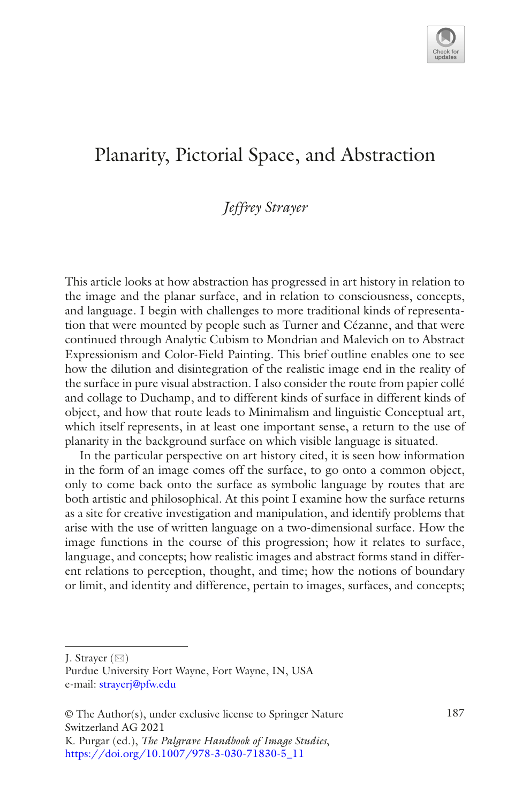

# Planarity, Pictorial Space, and Abstraction

# *Jeffrey Strayer*

This article looks at how abstraction has progressed in art history in relation to the image and the planar surface, and in relation to consciousness, concepts, and language. I begin with challenges to more traditional kinds of representation that were mounted by people such as Turner and Cézanne, and that were continued through Analytic Cubism to Mondrian and Malevich on to Abstract Expressionism and Color-Field Painting. This brief outline enables one to see how the dilution and disintegration of the realistic image end in the reality of the surface in pure visual abstraction. I also consider the route from papier collé and collage to Duchamp, and to different kinds of surface in different kinds of object, and how that route leads to Minimalism and linguistic Conceptual art, which itself represents, in at least one important sense, a return to the use of planarity in the background surface on which visible language is situated.

In the particular perspective on art history cited, it is seen how information in the form of an image comes off the surface, to go onto a common object, only to come back onto the surface as symbolic language by routes that are both artistic and philosophical. At this point I examine how the surface returns as a site for creative investigation and manipulation, and identify problems that arise with the use of written language on a two-dimensional surface. How the image functions in the course of this progression; how it relates to surface, language, and concepts; how realistic images and abstract forms stand in different relations to perception, thought, and time; how the notions of boundary or limit, and identity and difference, pertain to images, surfaces, and concepts;

J. Strayer  $(\boxtimes)$ 

Purdue University Fort Wayne, Fort Wayne, IN, USA e-mail: [strayerj@pfw.edu](mailto:strayerj@pfw.edu)

<sup>©</sup> The Author(s), under exclusive license to Springer Nature 187 Switzerland AG 2021

K. Purgar (ed.), *The Palgrave Handbook of Image Studies*, [https://doi.org/10.1007/978-3-030-71830-5\\_11](https://doi.org/10.1007/978-3-030-71830-5_11#DOI)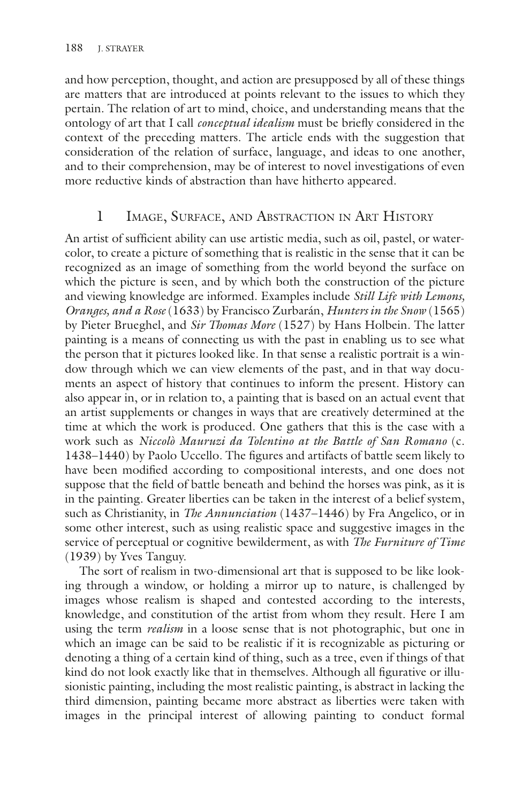and how perception, thought, and action are presupposed by all of these things are matters that are introduced at points relevant to the issues to which they pertain. The relation of art to mind, choice, and understanding means that the ontology of art that I call *conceptual idealism* must be briefy considered in the context of the preceding matters. The article ends with the suggestion that consideration of the relation of surface, language, and ideas to one another, and to their comprehension, may be of interest to novel investigations of even more reductive kinds of abstraction than have hitherto appeared.

## 1 Image, Surface, and Abstraction in Art History

An artist of sufficient ability can use artistic media, such as oil, pastel, or watercolor, to create a picture of something that is realistic in the sense that it can be recognized as an image of something from the world beyond the surface on which the picture is seen, and by which both the construction of the picture and viewing knowledge are informed. Examples include *Still Life with Lemons, Oranges, and a Rose* (1633) by Francisco Zurbarán, *Hunters in the Snow* (1565) by Pieter Brueghel, and *Sir Thomas More* (1527) by Hans Holbein. The latter painting is a means of connecting us with the past in enabling us to see what the person that it pictures looked like. In that sense a realistic portrait is a window through which we can view elements of the past, and in that way documents an aspect of history that continues to inform the present. History can also appear in, or in relation to, a painting that is based on an actual event that an artist supplements or changes in ways that are creatively determined at the time at which the work is produced. One gathers that this is the case with a work such as *Niccolò Mauruzi da Tolentino at the Battle of San Romano* (c. 1438–1440) by Paolo Uccello. The fgures and artifacts of battle seem likely to have been modifed according to compositional interests, and one does not suppose that the feld of battle beneath and behind the horses was pink, as it is in the painting. Greater liberties can be taken in the interest of a belief system, such as Christianity, in *The Annunciation* (1437–1446) by Fra Angelico, or in some other interest, such as using realistic space and suggestive images in the service of perceptual or cognitive bewilderment, as with *The Furniture of Time* (1939) by Yves Tanguy.

The sort of realism in two-dimensional art that is supposed to be like looking through a window, or holding a mirror up to nature, is challenged by images whose realism is shaped and contested according to the interests, knowledge, and constitution of the artist from whom they result. Here I am using the term *realism* in a loose sense that is not photographic, but one in which an image can be said to be realistic if it is recognizable as picturing or denoting a thing of a certain kind of thing, such as a tree, even if things of that kind do not look exactly like that in themselves. Although all fgurative or illusionistic painting, including the most realistic painting, is abstract in lacking the third dimension, painting became more abstract as liberties were taken with images in the principal interest of allowing painting to conduct formal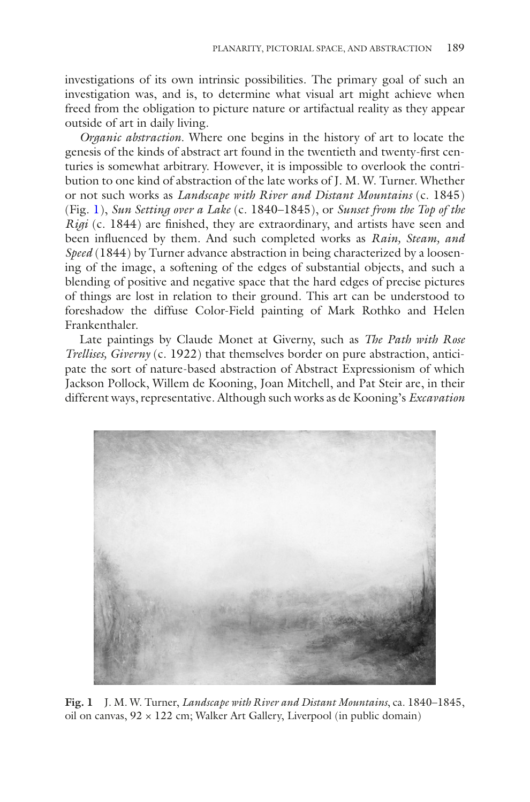investigations of its own intrinsic possibilities. The primary goal of such an investigation was, and is, to determine what visual art might achieve when freed from the obligation to picture nature or artifactual reality as they appear outside of art in daily living.

*Organic abstraction*. Where one begins in the history of art to locate the genesis of the kinds of abstract art found in the twentieth and twenty-frst centuries is somewhat arbitrary. However, it is impossible to overlook the contribution to one kind of abstraction of the late works of J. M. W. Turner. Whether or not such works as *Landscape with River and Distant Mountains* (c. 1845) (Fig. [1\)](#page-2-0), *Sun Setting over a Lake* (c. 1840–1845), or *Sunset from the Top of the Rigi* (c. 1844) are finished, they are extraordinary, and artists have seen and been infuenced by them. And such completed works as *Rain, Steam, and Speed* (1844) by Turner advance abstraction in being characterized by a loosening of the image, a softening of the edges of substantial objects, and such a blending of positive and negative space that the hard edges of precise pictures of things are lost in relation to their ground. This art can be understood to foreshadow the diffuse Color-Field painting of Mark Rothko and Helen Frankenthaler.

Late paintings by Claude Monet at Giverny, such as *The Path with Rose Trellises, Giverny* (c. 1922) that themselves border on pure abstraction, anticipate the sort of nature-based abstraction of Abstract Expressionism of which Jackson Pollock, Willem de Kooning, Joan Mitchell, and Pat Steir are, in their different ways, representative. Although such works as de Kooning's *Excavation*

<span id="page-2-0"></span>

**Fig. 1** J. M. W. Turner, *Landscape with River and Distant Mountains*, ca. 1840–1845, oil on canvas,  $92 \times 122$  cm; Walker Art Gallery, Liverpool (in public domain)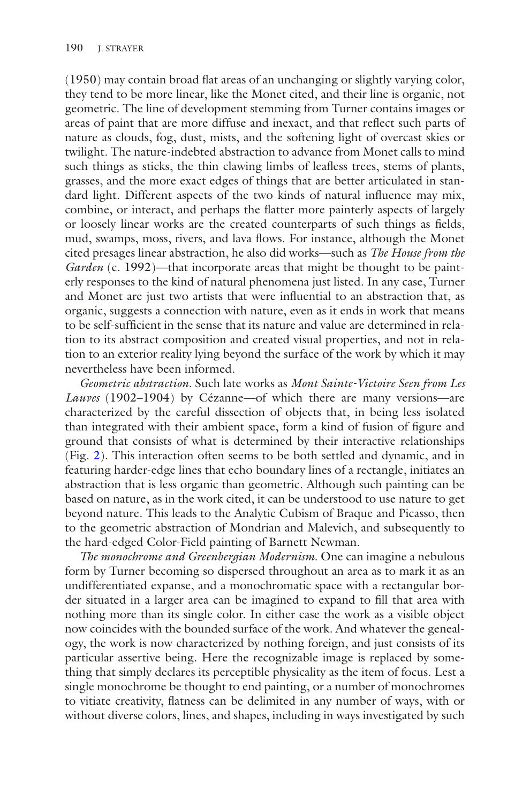(1950) may contain broad fat areas of an unchanging or slightly varying color, they tend to be more linear, like the Monet cited, and their line is organic, not geometric. The line of development stemming from Turner contains images or areas of paint that are more diffuse and inexact, and that refect such parts of nature as clouds, fog, dust, mists, and the softening light of overcast skies or twilight. The nature-indebted abstraction to advance from Monet calls to mind such things as sticks, the thin clawing limbs of leafess trees, stems of plants, grasses, and the more exact edges of things that are better articulated in standard light. Different aspects of the two kinds of natural infuence may mix, combine, or interact, and perhaps the fatter more painterly aspects of largely or loosely linear works are the created counterparts of such things as felds, mud, swamps, moss, rivers, and lava flows. For instance, although the Monet cited presages linear abstraction, he also did works—such as *The House from the Garden* (c. 1992)—that incorporate areas that might be thought to be painterly responses to the kind of natural phenomena just listed. In any case, Turner and Monet are just two artists that were infuential to an abstraction that, as organic, suggests a connection with nature, even as it ends in work that means to be self-suffcient in the sense that its nature and value are determined in relation to its abstract composition and created visual properties, and not in relation to an exterior reality lying beyond the surface of the work by which it may nevertheless have been informed.

*Geometric abstraction*. Such late works as *Mont Sainte-Victoire Seen from Les Lauves* (1902–1904) by Cézanne—of which there are many versions—are characterized by the careful dissection of objects that, in being less isolated than integrated with their ambient space, form a kind of fusion of fgure and ground that consists of what is determined by their interactive relationships (Fig. [2](#page-4-0)). This interaction often seems to be both settled and dynamic, and in featuring harder-edge lines that echo boundary lines of a rectangle, initiates an abstraction that is less organic than geometric. Although such painting can be based on nature, as in the work cited, it can be understood to use nature to get beyond nature. This leads to the Analytic Cubism of Braque and Picasso, then to the geometric abstraction of Mondrian and Malevich, and subsequently to the hard-edged Color-Field painting of Barnett Newman.

*The monochrome and Greenbergian Modernism*. One can imagine a nebulous form by Turner becoming so dispersed throughout an area as to mark it as an undifferentiated expanse, and a monochromatic space with a rectangular border situated in a larger area can be imagined to expand to fll that area with nothing more than its single color. In either case the work as a visible object now coincides with the bounded surface of the work. And whatever the genealogy, the work is now characterized by nothing foreign, and just consists of its particular assertive being. Here the recognizable image is replaced by something that simply declares its perceptible physicality as the item of focus. Lest a single monochrome be thought to end painting, or a number of monochromes to vitiate creativity, fatness can be delimited in any number of ways, with or without diverse colors, lines, and shapes, including in ways investigated by such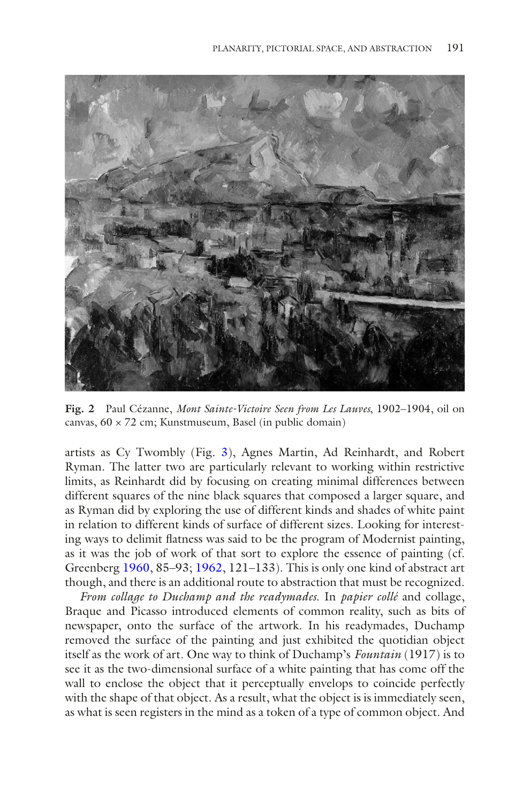<span id="page-4-0"></span>

**Fig. 2** Paul Cézanne, *Mont Sainte-Victoire Seen from Les Lauves*, 1902–1904, oil on canvas, 60 × 72 cm; Kunstmuseum, Basel (in public domain)

artists as Cy Twombly (Fig. [3\)](#page-5-0), Agnes Martin, Ad Reinhardt, and Robert Ryman. The latter two are particularly relevant to working within restrictive limits, as Reinhardt did by focusing on creating minimal differences between different squares of the nine black squares that composed a larger square, and as Ryman did by exploring the use of different kinds and shades of white paint in relation to different kinds of surface of different sizes. Looking for interesting ways to delimit fatness was said to be the program of Modernist painting, as it was the job of work of that sort to explore the essence of painting (cf. Greenberg [1960](#page-15-0), 85–93; [1962](#page-15-1), 121–133). This is only one kind of abstract art though, and there is an additional route to abstraction that must be recognized.

*From collage to Duchamp and the readymades*. In *papier collé* and collage, Braque and Picasso introduced elements of common reality, such as bits of newspaper, onto the surface of the artwork. In his readymades, Duchamp removed the surface of the painting and just exhibited the quotidian object itself as the work of art. One way to think of Duchamp's *Fountain* (1917) is to see it as the two-dimensional surface of a white painting that has come off the wall to enclose the object that it perceptually envelops to coincide perfectly with the shape of that object. As a result, what the object is is immediately seen, as what is seen registers in the mind as a token of a type of common object. And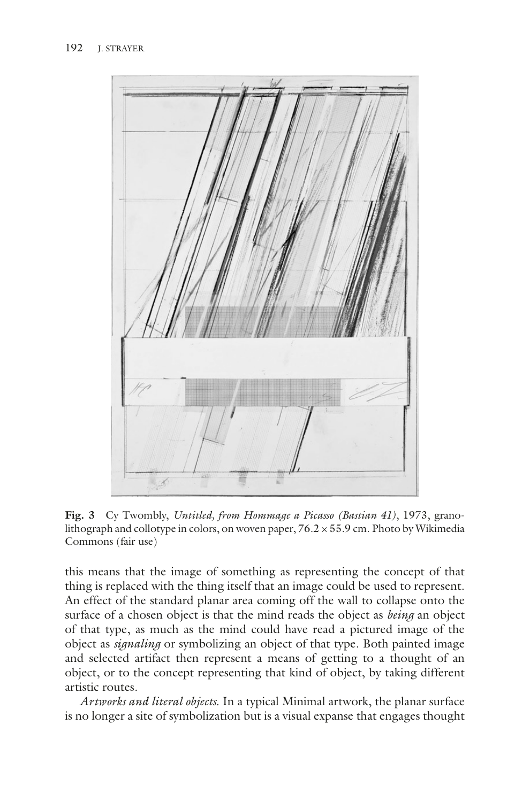<span id="page-5-0"></span>

**Fig. 3** Cy Twombly, *Untitled, from Hommage a Picasso (Bastian 41)*, 1973, granolithograph and collotype in colors, on woven paper,  $76.2 \times 55.9$  cm. Photo by Wikimedia Commons (fair use)

this means that the image of something as representing the concept of that thing is replaced with the thing itself that an image could be used to represent. An effect of the standard planar area coming off the wall to collapse onto the surface of a chosen object is that the mind reads the object as *being* an object of that type, as much as the mind could have read a pictured image of the object as *signaling* or symbolizing an object of that type. Both painted image and selected artifact then represent a means of getting to a thought of an object, or to the concept representing that kind of object, by taking different artistic routes.

*Artworks and literal objects*. In a typical Minimal artwork, the planar surface is no longer a site of symbolization but is a visual expanse that engages thought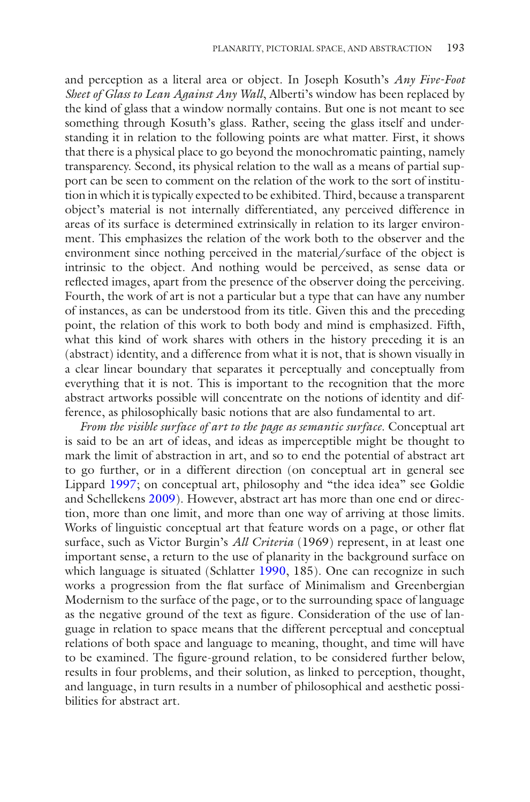and perception as a literal area or object. In Joseph Kosuth's *Any Five-Foot Sheet of Glass to Lean Against Any Wall*, Alberti's window has been replaced by the kind of glass that a window normally contains. But one is not meant to see something through Kosuth's glass. Rather, seeing the glass itself and understanding it in relation to the following points are what matter. First, it shows that there is a physical place to go beyond the monochromatic painting, namely transparency. Second, its physical relation to the wall as a means of partial support can be seen to comment on the relation of the work to the sort of institution in which it is typically expected to be exhibited. Third, because a transparent object's material is not internally differentiated, any perceived difference in areas of its surface is determined extrinsically in relation to its larger environment. This emphasizes the relation of the work both to the observer and the environment since nothing perceived in the material/surface of the object is intrinsic to the object. And nothing would be perceived, as sense data or refected images, apart from the presence of the observer doing the perceiving. Fourth, the work of art is not a particular but a type that can have any number of instances, as can be understood from its title. Given this and the preceding point, the relation of this work to both body and mind is emphasized. Fifth, what this kind of work shares with others in the history preceding it is an (abstract) identity, and a difference from what it is not, that is shown visually in a clear linear boundary that separates it perceptually and conceptually from everything that it is not. This is important to the recognition that the more abstract artworks possible will concentrate on the notions of identity and difference, as philosophically basic notions that are also fundamental to art.

*From the visible surface of art to the page as semantic surface*. Conceptual art is said to be an art of ideas, and ideas as imperceptible might be thought to mark the limit of abstraction in art, and so to end the potential of abstract art to go further, or in a different direction (on conceptual art in general see Lippard [1997](#page-15-2); on conceptual art, philosophy and "the idea idea" see Goldie and Schellekens [2009\)](#page-15-3). However, abstract art has more than one end or direction, more than one limit, and more than one way of arriving at those limits. Works of linguistic conceptual art that feature words on a page, or other fat surface, such as Victor Burgin's *All Criteria* (1969) represent, in at least one important sense, a return to the use of planarity in the background surface on which language is situated (Schlatter [1990](#page-15-4), 185). One can recognize in such works a progression from the fat surface of Minimalism and Greenbergian Modernism to the surface of the page, or to the surrounding space of language as the negative ground of the text as fgure. Consideration of the use of language in relation to space means that the different perceptual and conceptual relations of both space and language to meaning, thought, and time will have to be examined. The fgure-ground relation, to be considered further below, results in four problems, and their solution, as linked to perception, thought, and language, in turn results in a number of philosophical and aesthetic possibilities for abstract art.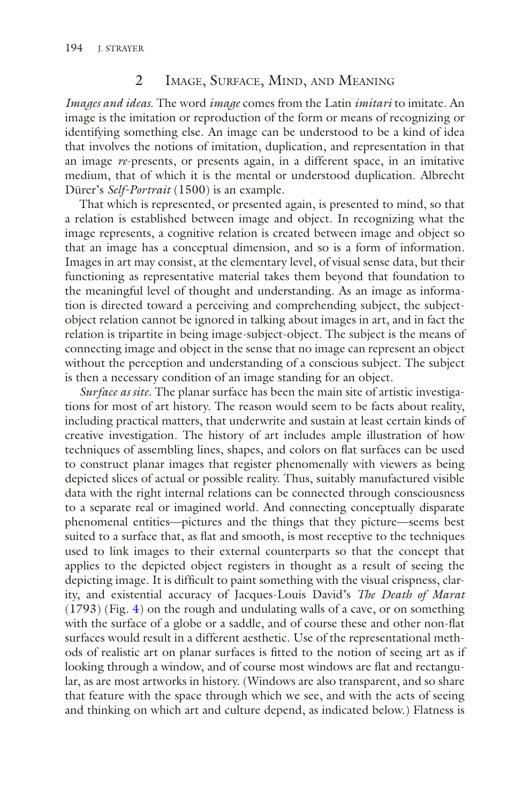#### 2 Image, Surface, Mind, and Meaning

*Images and ideas*. The word *image* comes from the Latin *imitari* to imitate. An image is the imitation or reproduction of the form or means of recognizing or identifying something else. An image can be understood to be a kind of idea that involves the notions of imitation, duplication, and representation in that an image *re*-presents, or presents again, in a different space, in an imitative medium, that of which it is the mental or understood duplication. Albrecht Dürer's *Self-Portrait* (1500) is an example.

That which is represented, or presented again, is presented to mind, so that a relation is established between image and object. In recognizing what the image represents, a cognitive relation is created between image and object so that an image has a conceptual dimension, and so is a form of information. Images in art may consist, at the elementary level, of visual sense data, but their functioning as representative material takes them beyond that foundation to the meaningful level of thought and understanding. As an image as information is directed toward a perceiving and comprehending subject, the subjectobject relation cannot be ignored in talking about images in art, and in fact the relation is tripartite in being image-subject-object. The subject is the means of connecting image and object in the sense that no image can represent an object without the perception and understanding of a conscious subject. The subject is then a necessary condition of an image standing for an object.

*Surface as site*. The planar surface has been the main site of artistic investigations for most of art history. The reason would seem to be facts about reality, including practical matters, that underwrite and sustain at least certain kinds of creative investigation. The history of art includes ample illustration of how techniques of assembling lines, shapes, and colors on fat surfaces can be used to construct planar images that register phenomenally with viewers as being depicted slices of actual or possible reality. Thus, suitably manufactured visible data with the right internal relations can be connected through consciousness to a separate real or imagined world. And connecting conceptually disparate phenomenal entities—pictures and the things that they picture—seems best suited to a surface that, as flat and smooth, is most receptive to the techniques used to link images to their external counterparts so that the concept that applies to the depicted object registers in thought as a result of seeing the depicting image. It is diffcult to paint something with the visual crispness, clarity, and existential accuracy of Jacques-Louis David's *The Death of Marat* (1793) (Fig. [4\)](#page-8-0) on the rough and undulating walls of a cave, or on something with the surface of a globe or a saddle, and of course these and other non-fat surfaces would result in a different aesthetic. Use of the representational methods of realistic art on planar surfaces is ftted to the notion of seeing art as if looking through a window, and of course most windows are flat and rectangular, as are most artworks in history. (Windows are also transparent, and so share that feature with the space through which we see, and with the acts of seeing and thinking on which art and culture depend, as indicated below.) Flatness is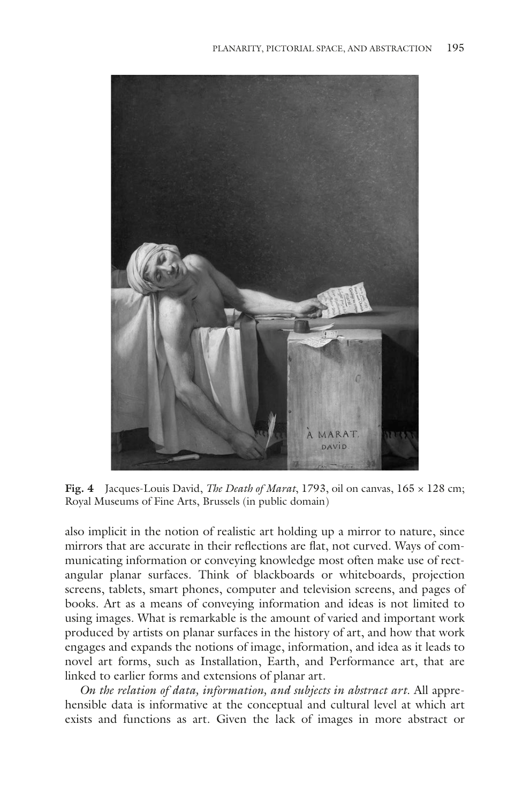<span id="page-8-0"></span>

**Fig. 4** Jacques-Louis David, *The Death of Marat*, 1793, oil on canvas, 165 × 128 cm; Royal Museums of Fine Arts, Brussels (in public domain)

also implicit in the notion of realistic art holding up a mirror to nature, since mirrors that are accurate in their refections are fat, not curved. Ways of communicating information or conveying knowledge most often make use of rectangular planar surfaces. Think of blackboards or whiteboards, projection screens, tablets, smart phones, computer and television screens, and pages of books. Art as a means of conveying information and ideas is not limited to using images. What is remarkable is the amount of varied and important work produced by artists on planar surfaces in the history of art, and how that work engages and expands the notions of image, information, and idea as it leads to novel art forms, such as Installation, Earth, and Performance art, that are linked to earlier forms and extensions of planar art.

*On the relation of data, information, and subjects in abstract art*. All apprehensible data is informative at the conceptual and cultural level at which art exists and functions as art. Given the lack of images in more abstract or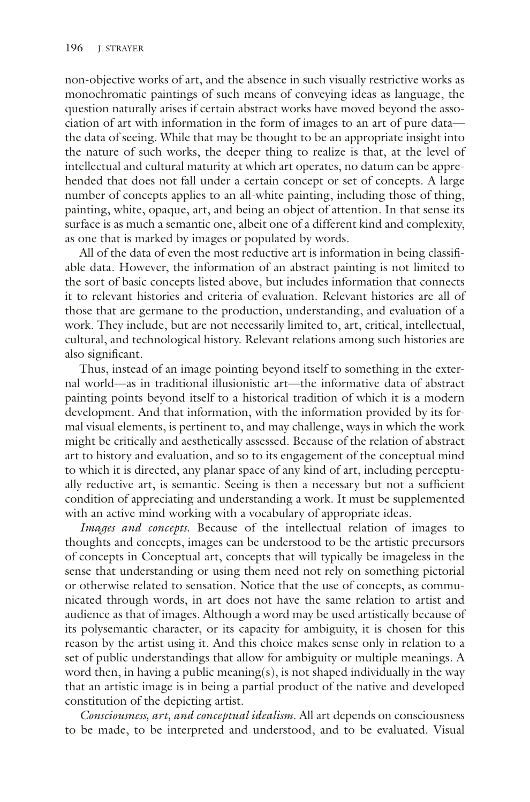non-objective works of art, and the absence in such visually restrictive works as monochromatic paintings of such means of conveying ideas as language, the question naturally arises if certain abstract works have moved beyond the association of art with information in the form of images to an art of pure data the data of seeing. While that may be thought to be an appropriate insight into the nature of such works, the deeper thing to realize is that, at the level of intellectual and cultural maturity at which art operates, no datum can be apprehended that does not fall under a certain concept or set of concepts. A large number of concepts applies to an all-white painting, including those of thing, painting, white, opaque, art, and being an object of attention. In that sense its surface is as much a semantic one, albeit one of a different kind and complexity, as one that is marked by images or populated by words.

All of the data of even the most reductive art is information in being classifable data. However, the information of an abstract painting is not limited to the sort of basic concepts listed above, but includes information that connects it to relevant histories and criteria of evaluation. Relevant histories are all of those that are germane to the production, understanding, and evaluation of a work. They include, but are not necessarily limited to, art, critical, intellectual, cultural, and technological history. Relevant relations among such histories are also signifcant.

Thus, instead of an image pointing beyond itself to something in the external world—as in traditional illusionistic art—the informative data of abstract painting points beyond itself to a historical tradition of which it is a modern development. And that information, with the information provided by its formal visual elements, is pertinent to, and may challenge, ways in which the work might be critically and aesthetically assessed. Because of the relation of abstract art to history and evaluation, and so to its engagement of the conceptual mind to which it is directed, any planar space of any kind of art, including perceptually reductive art, is semantic. Seeing is then a necessary but not a sufficient condition of appreciating and understanding a work. It must be supplemented with an active mind working with a vocabulary of appropriate ideas.

*Images and concepts*. Because of the intellectual relation of images to thoughts and concepts, images can be understood to be the artistic precursors of concepts in Conceptual art, concepts that will typically be imageless in the sense that understanding or using them need not rely on something pictorial or otherwise related to sensation. Notice that the use of concepts, as communicated through words, in art does not have the same relation to artist and audience as that of images. Although a word may be used artistically because of its polysemantic character, or its capacity for ambiguity, it is chosen for this reason by the artist using it. And this choice makes sense only in relation to a set of public understandings that allow for ambiguity or multiple meanings. A word then, in having a public meaning(s), is not shaped individually in the way that an artistic image is in being a partial product of the native and developed constitution of the depicting artist.

*Consciousness, art, and conceptual idealism*. All art depends on consciousness to be made, to be interpreted and understood, and to be evaluated. Visual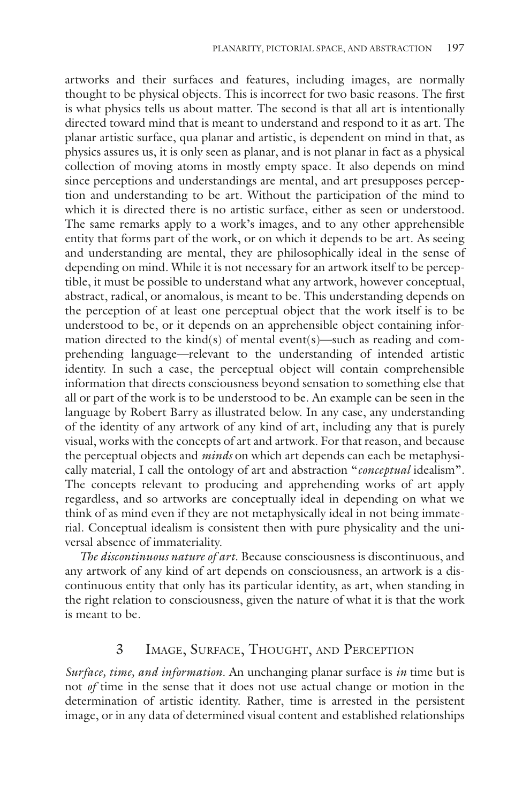artworks and their surfaces and features, including images, are normally thought to be physical objects. This is incorrect for two basic reasons. The frst is what physics tells us about matter. The second is that all art is intentionally directed toward mind that is meant to understand and respond to it as art. The planar artistic surface, qua planar and artistic, is dependent on mind in that, as physics assures us, it is only seen as planar, and is not planar in fact as a physical collection of moving atoms in mostly empty space. It also depends on mind since perceptions and understandings are mental, and art presupposes perception and understanding to be art. Without the participation of the mind to which it is directed there is no artistic surface, either as seen or understood. The same remarks apply to a work's images, and to any other apprehensible entity that forms part of the work, or on which it depends to be art. As seeing and understanding are mental, they are philosophically ideal in the sense of depending on mind. While it is not necessary for an artwork itself to be perceptible, it must be possible to understand what any artwork, however conceptual, abstract, radical, or anomalous, is meant to be. This understanding depends on the perception of at least one perceptual object that the work itself is to be understood to be, or it depends on an apprehensible object containing information directed to the kind(s) of mental event(s)—such as reading and comprehending language—relevant to the understanding of intended artistic identity. In such a case, the perceptual object will contain comprehensible information that directs consciousness beyond sensation to something else that all or part of the work is to be understood to be. An example can be seen in the language by Robert Barry as illustrated below. In any case, any understanding of the identity of any artwork of any kind of art, including any that is purely visual, works with the concepts of art and artwork. For that reason, and because the perceptual objects and *minds* on which art depends can each be metaphysically material, I call the ontology of art and abstraction "*conceptual* idealism". The concepts relevant to producing and apprehending works of art apply regardless, and so artworks are conceptually ideal in depending on what we think of as mind even if they are not metaphysically ideal in not being immaterial. Conceptual idealism is consistent then with pure physicality and the universal absence of immateriality.

*The discontinuous nature of art*. Because consciousness is discontinuous, and any artwork of any kind of art depends on consciousness, an artwork is a discontinuous entity that only has its particular identity, as art, when standing in the right relation to consciousness, given the nature of what it is that the work is meant to be.

## 3 Image, Surface, Thought, and Perception

*Surface, time, and information*. An unchanging planar surface is *in* time but is not *of* time in the sense that it does not use actual change or motion in the determination of artistic identity. Rather, time is arrested in the persistent image, or in any data of determined visual content and established relationships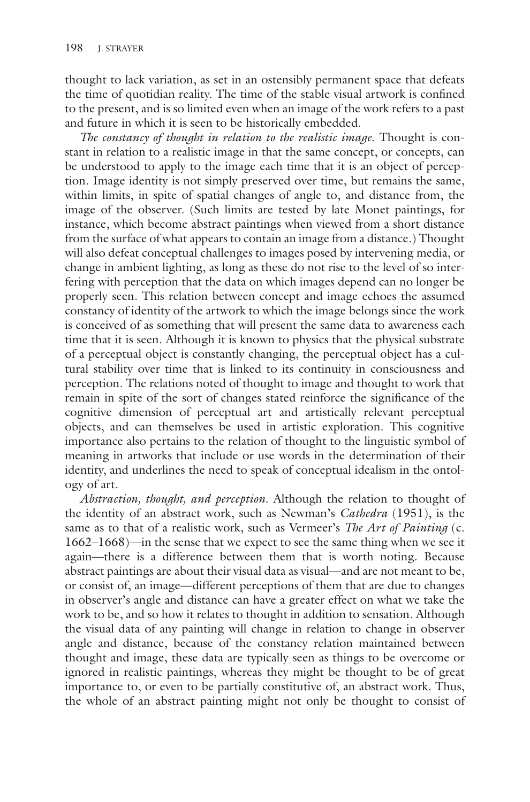thought to lack variation, as set in an ostensibly permanent space that defeats the time of quotidian reality. The time of the stable visual artwork is confned to the present, and is so limited even when an image of the work refers to a past and future in which it is seen to be historically embedded.

*The constancy of thought in relation to the realistic image*. Thought is constant in relation to a realistic image in that the same concept, or concepts, can be understood to apply to the image each time that it is an object of perception. Image identity is not simply preserved over time, but remains the same, within limits, in spite of spatial changes of angle to, and distance from, the image of the observer. (Such limits are tested by late Monet paintings, for instance, which become abstract paintings when viewed from a short distance from the surface of what appears to contain an image from a distance.) Thought will also defeat conceptual challenges to images posed by intervening media, or change in ambient lighting, as long as these do not rise to the level of so interfering with perception that the data on which images depend can no longer be properly seen. This relation between concept and image echoes the assumed constancy of identity of the artwork to which the image belongs since the work is conceived of as something that will present the same data to awareness each time that it is seen. Although it is known to physics that the physical substrate of a perceptual object is constantly changing, the perceptual object has a cultural stability over time that is linked to its continuity in consciousness and perception. The relations noted of thought to image and thought to work that remain in spite of the sort of changes stated reinforce the signifcance of the cognitive dimension of perceptual art and artistically relevant perceptual objects, and can themselves be used in artistic exploration. This cognitive importance also pertains to the relation of thought to the linguistic symbol of meaning in artworks that include or use words in the determination of their identity, and underlines the need to speak of conceptual idealism in the ontology of art.

*Abstraction, thought, and perception*. Although the relation to thought of the identity of an abstract work, such as Newman's *Cathedra* (1951), is the same as to that of a realistic work, such as Vermeer's *The Art of Painting* (c. 1662–1668)—in the sense that we expect to see the same thing when we see it again—there is a difference between them that is worth noting. Because abstract paintings are about their visual data as visual—and are not meant to be, or consist of, an image—different perceptions of them that are due to changes in observer's angle and distance can have a greater effect on what we take the work to be, and so how it relates to thought in addition to sensation. Although the visual data of any painting will change in relation to change in observer angle and distance, because of the constancy relation maintained between thought and image, these data are typically seen as things to be overcome or ignored in realistic paintings, whereas they might be thought to be of great importance to, or even to be partially constitutive of, an abstract work. Thus, the whole of an abstract painting might not only be thought to consist of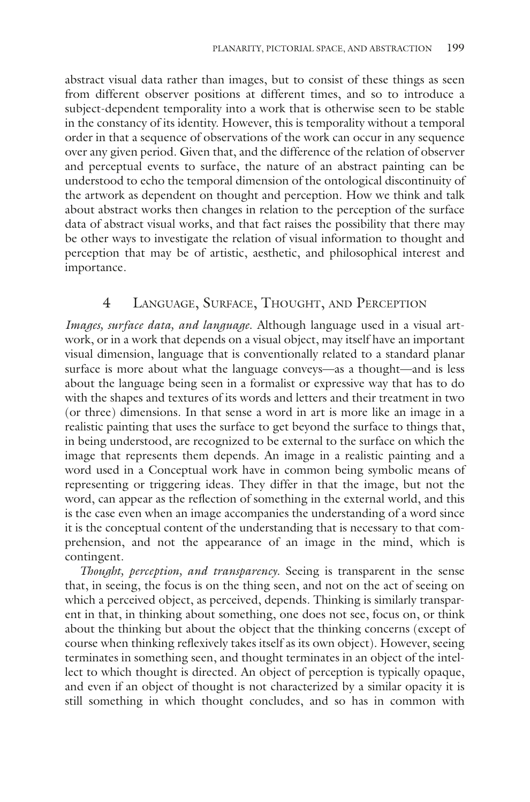abstract visual data rather than images, but to consist of these things as seen from different observer positions at different times, and so to introduce a subject-dependent temporality into a work that is otherwise seen to be stable in the constancy of its identity. However, this is temporality without a temporal order in that a sequence of observations of the work can occur in any sequence over any given period. Given that, and the difference of the relation of observer and perceptual events to surface, the nature of an abstract painting can be understood to echo the temporal dimension of the ontological discontinuity of the artwork as dependent on thought and perception. How we think and talk about abstract works then changes in relation to the perception of the surface data of abstract visual works, and that fact raises the possibility that there may be other ways to investigate the relation of visual information to thought and perception that may be of artistic, aesthetic, and philosophical interest and importance.

#### 4 Language, Surface, Thought, and Perception

*Images, surface data, and language*. Although language used in a visual artwork, or in a work that depends on a visual object, may itself have an important visual dimension, language that is conventionally related to a standard planar surface is more about what the language conveys—as a thought—and is less about the language being seen in a formalist or expressive way that has to do with the shapes and textures of its words and letters and their treatment in two (or three) dimensions. In that sense a word in art is more like an image in a realistic painting that uses the surface to get beyond the surface to things that, in being understood, are recognized to be external to the surface on which the image that represents them depends. An image in a realistic painting and a word used in a Conceptual work have in common being symbolic means of representing or triggering ideas. They differ in that the image, but not the word, can appear as the refection of something in the external world, and this is the case even when an image accompanies the understanding of a word since it is the conceptual content of the understanding that is necessary to that comprehension, and not the appearance of an image in the mind, which is contingent.

*Thought, perception, and transparency*. Seeing is transparent in the sense that, in seeing, the focus is on the thing seen, and not on the act of seeing on which a perceived object, as perceived, depends. Thinking is similarly transparent in that, in thinking about something, one does not see, focus on, or think about the thinking but about the object that the thinking concerns (except of course when thinking refexively takes itself as its own object). However, seeing terminates in something seen, and thought terminates in an object of the intellect to which thought is directed. An object of perception is typically opaque, and even if an object of thought is not characterized by a similar opacity it is still something in which thought concludes, and so has in common with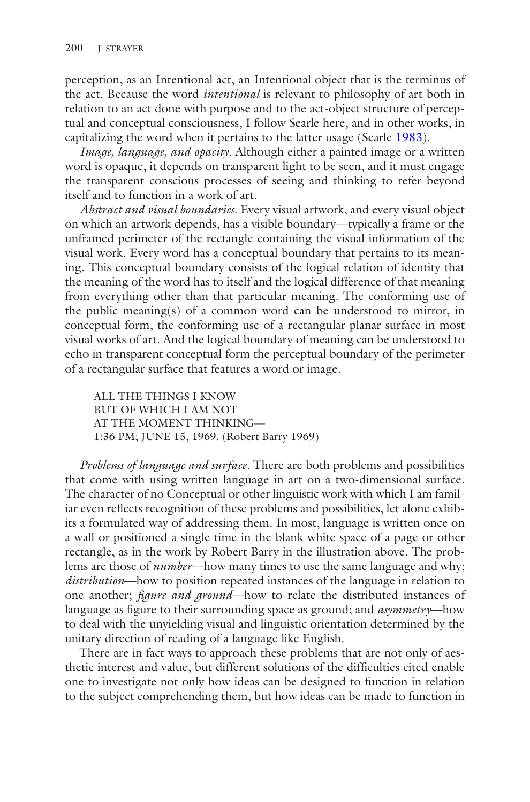perception, as an Intentional act, an Intentional object that is the terminus of the act. Because the word *intentional* is relevant to philosophy of art both in relation to an act done with purpose and to the act-object structure of perceptual and conceptual consciousness, I follow Searle here, and in other works, in capitalizing the word when it pertains to the latter usage (Searle [1983](#page-15-5)).

*Image, language, and opacity*. Although either a painted image or a written word is opaque, it depends on transparent light to be seen, and it must engage the transparent conscious processes of seeing and thinking to refer beyond itself and to function in a work of art.

*Abstract and visual boundaries*. Every visual artwork, and every visual object on which an artwork depends, has a visible boundary—typically a frame or the unframed perimeter of the rectangle containing the visual information of the visual work. Every word has a conceptual boundary that pertains to its meaning. This conceptual boundary consists of the logical relation of identity that the meaning of the word has to itself and the logical difference of that meaning from everything other than that particular meaning. The conforming use of the public meaning(s) of a common word can be understood to mirror, in conceptual form, the conforming use of a rectangular planar surface in most visual works of art. And the logical boundary of meaning can be understood to echo in transparent conceptual form the perceptual boundary of the perimeter of a rectangular surface that features a word or image.

ALL THE THINGS I KNOW BUT OF WHICH I AM NOT AT THE MOMENT THINKING— 1:36 PM; JUNE 15, 1969. (Robert Barry 1969)

*Problems of language and surface*. There are both problems and possibilities that come with using written language in art on a two-dimensional surface. The character of no Conceptual or other linguistic work with which I am familiar even refects recognition of these problems and possibilities, let alone exhibits a formulated way of addressing them. In most, language is written once on a wall or positioned a single time in the blank white space of a page or other rectangle, as in the work by Robert Barry in the illustration above. The problems are those of *number*—how many times to use the same language and why; *distribution*—how to position repeated instances of the language in relation to one another; *fgure and ground*—how to relate the distributed instances of language as fgure to their surrounding space as ground; and *asymmetry*—how to deal with the unyielding visual and linguistic orientation determined by the unitary direction of reading of a language like English.

There are in fact ways to approach these problems that are not only of aesthetic interest and value, but different solutions of the diffculties cited enable one to investigate not only how ideas can be designed to function in relation to the subject comprehending them, but how ideas can be made to function in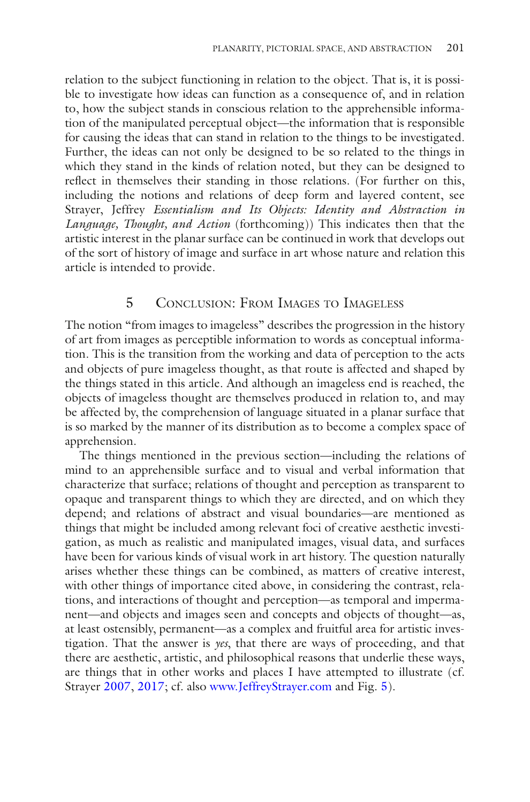relation to the subject functioning in relation to the object. That is, it is possible to investigate how ideas can function as a consequence of, and in relation to, how the subject stands in conscious relation to the apprehensible information of the manipulated perceptual object—the information that is responsible for causing the ideas that can stand in relation to the things to be investigated. Further, the ideas can not only be designed to be so related to the things in which they stand in the kinds of relation noted, but they can be designed to refect in themselves their standing in those relations. (For further on this, including the notions and relations of deep form and layered content, see Strayer, Jeffrey *Essentialism and Its Objects: Identity and Abstraction in Language, Thought, and Action* (forthcoming)) This indicates then that the artistic interest in the planar surface can be continued in work that develops out of the sort of history of image and surface in art whose nature and relation this article is intended to provide.

#### 5 Conclusion: From Images to Imageless

The notion "from images to imageless" describes the progression in the history of art from images as perceptible information to words as conceptual information. This is the transition from the working and data of perception to the acts and objects of pure imageless thought, as that route is affected and shaped by the things stated in this article. And although an imageless end is reached, the objects of imageless thought are themselves produced in relation to, and may be affected by, the comprehension of language situated in a planar surface that is so marked by the manner of its distribution as to become a complex space of apprehension.

The things mentioned in the previous section—including the relations of mind to an apprehensible surface and to visual and verbal information that characterize that surface; relations of thought and perception as transparent to opaque and transparent things to which they are directed, and on which they depend; and relations of abstract and visual boundaries—are mentioned as things that might be included among relevant foci of creative aesthetic investigation, as much as realistic and manipulated images, visual data, and surfaces have been for various kinds of visual work in art history. The question naturally arises whether these things can be combined, as matters of creative interest, with other things of importance cited above, in considering the contrast, relations, and interactions of thought and perception—as temporal and impermanent—and objects and images seen and concepts and objects of thought—as, at least ostensibly, permanent—as a complex and fruitful area for artistic investigation. That the answer is *yes*, that there are ways of proceeding, and that there are aesthetic, artistic, and philosophical reasons that underlie these ways, are things that in other works and places I have attempted to illustrate (cf. Strayer [2007](#page-15-6), [2017](#page-15-7); cf. also [www.JeffreyStrayer.com](http://www.jeffreystrayer.com) and Fig. [5\)](#page-15-8).